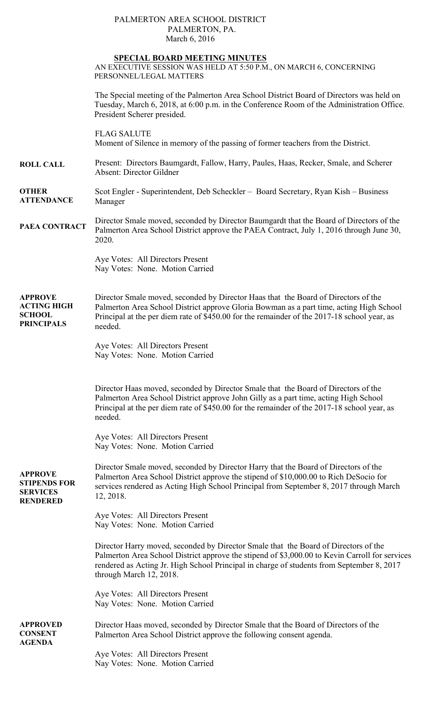## PALMERTON AREA SCHOOL DISTRICT PALMERTON, PA. March 6, 2016

### **SPECIAL BOARD MEETING MINUTES**

AN EXECUTIVE SESSION WAS HELD AT 5:50 P.M., ON MARCH 6, CONCERNING PERSONNEL/LEGAL MATTERS

**ROLL CALL OTHER ATTENDANCE PAEA CONTRACT APPROVE ACTING HIGH SCHOOL PRINCIPALS APPROVE STIPENDS FOR SERVICES RENDERED APPROVED CONSENT AGENDA**  The Special meeting of the Palmerton Area School District Board of Directors was held on Tuesday, March 6, 2018, at 6:00 p.m. in the Conference Room of the Administration Office. President Scherer presided. FLAG SALUTE Moment of Silence in memory of the passing of former teachers from the District. Present: Directors Baumgardt, Fallow, Harry, Paules, Haas, Recker, Smale, and Scherer Absent: Director Gildner Scot Engler - Superintendent, Deb Scheckler – Board Secretary, Ryan Kish – Business Manager Director Smale moved, seconded by Director Baumgardt that the Board of Directors of the Palmerton Area School District approve the PAEA Contract, July 1, 2016 through June 30, 2020. Aye Votes: All Directors Present Nay Votes: None. Motion Carried Director Smale moved, seconded by Director Haas that the Board of Directors of the Palmerton Area School District approve Gloria Bowman as a part time, acting High School Principal at the per diem rate of \$450.00 for the remainder of the 2017-18 school year, as needed. Aye Votes: All Directors Present Nay Votes: None. Motion Carried Director Haas moved, seconded by Director Smale that the Board of Directors of the Palmerton Area School District approve John Gilly as a part time, acting High School Principal at the per diem rate of \$450.00 for the remainder of the 2017-18 school year, as needed. Aye Votes: All Directors Present Nay Votes: None. Motion Carried Director Smale moved, seconded by Director Harry that the Board of Directors of the Palmerton Area School District approve the stipend of \$10,000.00 to Rich DeSocio for services rendered as Acting High School Principal from September 8, 2017 through March 12, 2018. Aye Votes: All Directors Present Nay Votes: None. Motion Carried Director Harry moved, seconded by Director Smale that the Board of Directors of the Palmerton Area School District approve the stipend of \$3,000.00 to Kevin Carroll for services rendered as Acting Jr. High School Principal in charge of students from September 8, 2017 through March 12, 2018. Aye Votes: All Directors Present Nay Votes: None. Motion Carried Director Haas moved, seconded by Director Smale that the Board of Directors of the Palmerton Area School District approve the following consent agenda.

Aye Votes: All Directors Present Nay Votes: None. Motion Carried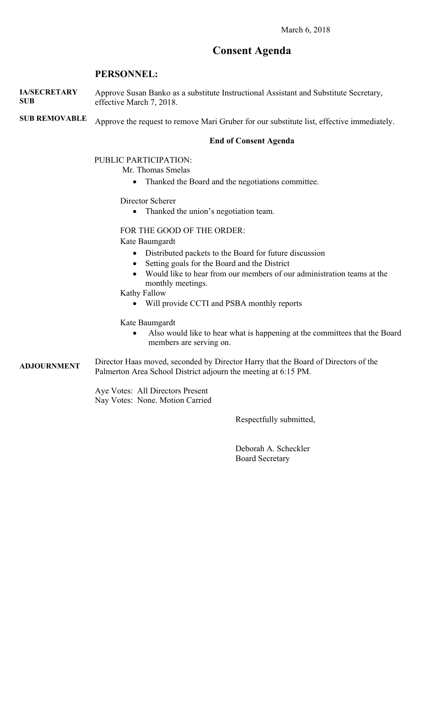# **Consent Agenda**

## **PERSONNEL:**

**IA/SECRETARY SUB**  Approve Susan Banko as a substitute Instructional Assistant and Substitute Secretary, effective March 7, 2018.

**SUB REMOVABLE**  Approve the request to remove Mari Gruber for our substitute list, effective immediately.

#### **End of Consent Agenda**

PUBLIC PARTICIPATION:

Mr. Thomas Smelas

• Thanked the Board and the negotiations committee.

Director Scherer

• Thanked the union's negotiation team.

FOR THE GOOD OF THE ORDER:

Kate Baumgardt

- Distributed packets to the Board for future discussion
- Setting goals for the Board and the District
- Would like to hear from our members of our administration teams at the monthly meetings.
- Kathy Fallow
	- Will provide CCTI and PSBA monthly reports

Kate Baumgardt

 Also would like to hear what is happening at the committees that the Board members are serving on.

**ADJOURNMENT**  Director Haas moved, seconded by Director Harry that the Board of Directors of the Palmerton Area School District adjourn the meeting at 6:15 PM.

> Aye Votes: All Directors Present Nay Votes: None. Motion Carried

> > Respectfully submitted,

 Deborah A. Scheckler Board Secretary